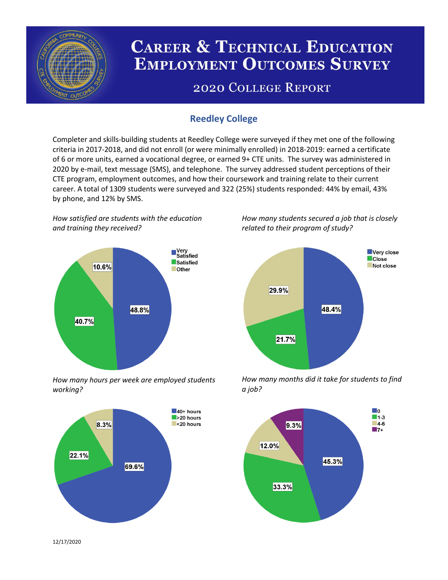

# **CAREER & TECHNICAL EDUCATION EMPLOYMENT OUTCOMES SURVEY**

## **2020 COLLEGE REPORT**

## **Reedley College**

Completer and skills-building students at Reedley College were surveyed if they met one of the following criteria in 2017-2018, and did not enroll (or were minimally enrolled) in 2018-2019: earned a certificate of 6 or more units, earned a vocational degree, or earned 9+ CTE units. The survey was administered in 2020 by e-mail, text message (SMS), and telephone. The survey addressed student perceptions of their CTE program, employment outcomes, and how their coursework and training relate to their current career. A total of 1309 students were surveyed and 322 (25%) students responded: 44% by email, 43% by phone, and 12% by SMS.

*How satisfied are students with the education and training they received?*



*How many hours per week are employed students working?*



*How many students secured a job that is closely related to their program of study?*



*How many months did it take for students to find a job?*